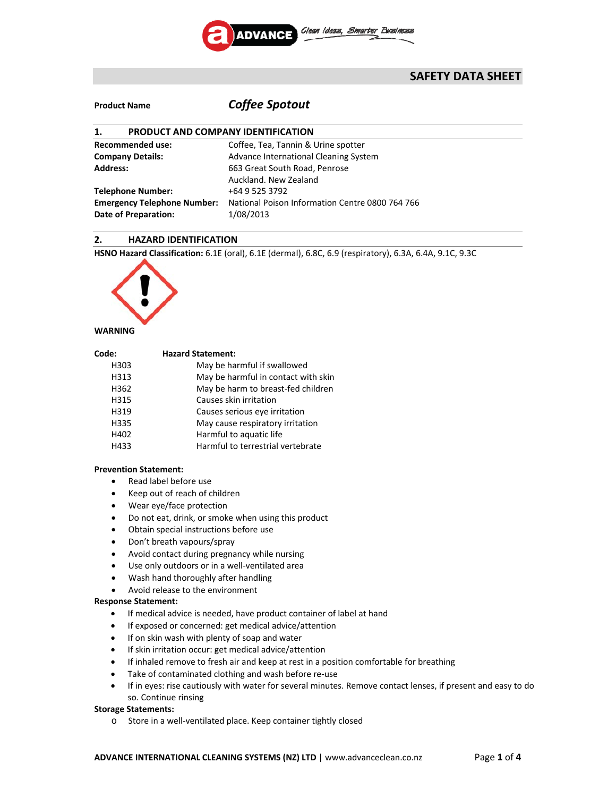

# **SAFETY DATA SHEET**

# **Product Name** *Coffee Spotout*

| PRODUCT AND COMPANY IDENTIFICATION<br>1.                     |  |  |
|--------------------------------------------------------------|--|--|
| Coffee, Tea, Tannin & Urine spotter                          |  |  |
| Advance International Cleaning System                        |  |  |
| 663 Great South Road, Penrose                                |  |  |
| Auckland, New Zealand                                        |  |  |
| +64 9 525 3792                                               |  |  |
| National Poison Information Centre 0800 764 766<br>1/08/2013 |  |  |
|                                                              |  |  |

# **2. HAZARD IDENTIFICATION**

**HSNO Hazard Classification:** 6.1E (oral), 6.1E (dermal), 6.8C, 6.9 (respiratory), 6.3A, 6.4A, 9.1C, 9.3C



## **WARNING**

| Code: | <b>Hazard Statement:</b>            |
|-------|-------------------------------------|
| H303  | May be harmful if swallowed         |
| H313  | May be harmful in contact with skin |
| H362  | May be harm to breast-fed children  |
| H315  | Causes skin irritation              |
| H319  | Causes serious eye irritation       |
| H335  | May cause respiratory irritation    |
| H402  | Harmful to aquatic life             |
| H433  | Harmful to terrestrial vertebrate   |

# **Prevention Statement:**

- Read label before use
- Keep out of reach of children
- Wear eye/face protection
- Do not eat, drink, or smoke when using this product
- Obtain special instructions before use
- Don't breath vapours/spray
- Avoid contact during pregnancy while nursing
- Use only outdoors or in a well-ventilated area
- Wash hand thoroughly after handling
- Avoid release to the environment

#### **Response Statement:**

- If medical advice is needed, have product container of label at hand
- If exposed or concerned: get medical advice/attention
- If on skin wash with plenty of soap and water
- If skin irritation occur: get medical advice/attention
- If inhaled remove to fresh air and keep at rest in a position comfortable for breathing
- Take of contaminated clothing and wash before re‐use
- If in eyes: rise cautiously with water for several minutes. Remove contact lenses, if present and easy to do so. Continue rinsing

### **Storage Statements:**

o Store in a well‐ventilated place. Keep container tightly closed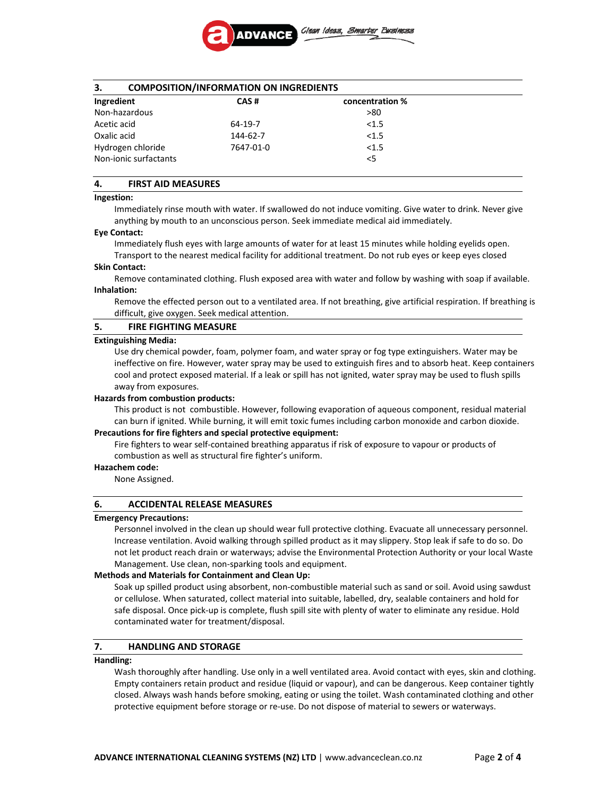

# **3. COMPOSITION/INFORMATION ON INGREDIENTS**

| Ingredient            | CAS#      | concentration % |  |
|-----------------------|-----------|-----------------|--|
| Non-hazardous         |           | >80             |  |
| Acetic acid           | 64-19-7   | < 1.5           |  |
| Oxalic acid           | 144-62-7  | < 1.5           |  |
| Hydrogen chloride     | 7647-01-0 | < 1.5           |  |
| Non-ionic surfactants |           | $<$ 5           |  |

# **4. FIRST AID MEASURES**

# **Ingestion:**

Immediately rinse mouth with water. If swallowed do not induce vomiting. Give water to drink. Never give anything by mouth to an unconscious person. Seek immediate medical aid immediately.

#### **Eye Contact:**

Immediately flush eyes with large amounts of water for at least 15 minutes while holding eyelids open. Transport to the nearest medical facility for additional treatment. Do not rub eyes or keep eyes closed

#### **Skin Contact:**

Remove contaminated clothing. Flush exposed area with water and follow by washing with soap if available. **Inhalation:**

Remove the effected person out to a ventilated area. If not breathing, give artificial respiration. If breathing is difficult, give oxygen. Seek medical attention.

#### **5. FIRE FIGHTING MEASURE**

#### **Extinguishing Media:**

Use dry chemical powder, foam, polymer foam, and water spray or fog type extinguishers. Water may be ineffective on fire. However, water spray may be used to extinguish fires and to absorb heat. Keep containers cool and protect exposed material. If a leak or spill has not ignited, water spray may be used to flush spills away from exposures.

#### **Hazards from combustion products:**

This product is not combustible. However, following evaporation of aqueous component, residual material can burn if ignited. While burning, it will emit toxic fumes including carbon monoxide and carbon dioxide.

#### **Precautions for fire fighters and special protective equipment:**

Fire fighters to wear self-contained breathing apparatus if risk of exposure to vapour or products of combustion as well as structural fire fighter's uniform.

#### **Hazachem code:**

None Assigned.

#### **6. ACCIDENTAL RELEASE MEASURES**

#### **Emergency Precautions:**

Personnel involved in the clean up should wear full protective clothing. Evacuate all unnecessary personnel. Increase ventilation. Avoid walking through spilled product as it may slippery. Stop leak if safe to do so. Do not let product reach drain or waterways; advise the Environmental Protection Authority or your local Waste Management. Use clean, non‐sparking tools and equipment.

#### **Methods and Materials for Containment and Clean Up:**

Soak up spilled product using absorbent, non‐combustible material such as sand or soil. Avoid using sawdust or cellulose. When saturated, collect material into suitable, labelled, dry, sealable containers and hold for safe disposal. Once pick‐up is complete, flush spill site with plenty of water to eliminate any residue. Hold contaminated water for treatment/disposal.

# **7. HANDLING AND STORAGE**

#### **Handling:**

Wash thoroughly after handling. Use only in a well ventilated area. Avoid contact with eyes, skin and clothing. Empty containers retain product and residue (liquid or vapour), and can be dangerous. Keep container tightly closed. Always wash hands before smoking, eating or using the toilet. Wash contaminated clothing and other protective equipment before storage or re‐use. Do not dispose of material to sewers or waterways.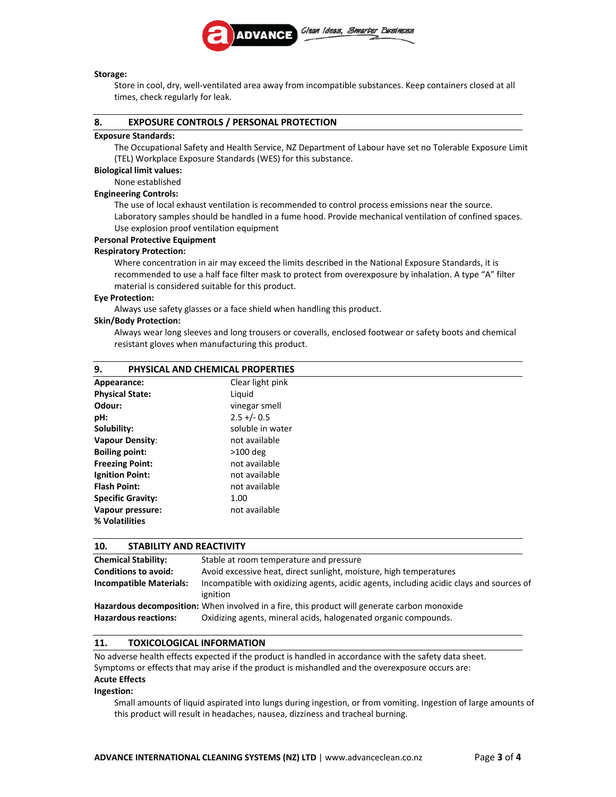

#### **Storage:**

Store in cool, dry, well‐ventilated area away from incompatible substances. Keep containers closed at all times, check regularly for leak.

### **8. EXPOSURE CONTROLS / PERSONAL PROTECTION**

### **Exposure Standards:**

The Occupational Safety and Health Service, NZ Department of Labour have set no Tolerable Exposure Limit (TEL) Workplace Exposure Standards (WES) for this substance.

### **Biological limit values:**

# None established

# **Engineering Controls:**

The use of local exhaust ventilation is recommended to control process emissions near the source. Laboratory samples should be handled in a fume hood. Provide mechanical ventilation of confined spaces. Use explosion proof ventilation equipment

# **Personal Protective Equipment**

#### **Respiratory Protection:**

Where concentration in air may exceed the limits described in the National Exposure Standards, it is recommended to use a half face filter mask to protect from overexposure by inhalation. A type "A" filter material is considered suitable for this product.

#### **Eye Protection:**

Always use safety glasses or a face shield when handling this product.

#### **Skin/Body Protection:**

Always wear long sleeves and long trousers or coveralls, enclosed footwear or safety boots and chemical resistant gloves when manufacturing this product.

| PHYSICAL AND CHEMICAL PROPERTIES<br>9. |                  |
|----------------------------------------|------------------|
| Appearance:                            | Clear light pink |
| <b>Physical State:</b>                 | Liquid           |
| Odour:                                 | vinegar smell    |
| pH:                                    | $2.5 + (-0.5)$   |
| Solubility:                            | soluble in water |
| <b>Vapour Density:</b>                 | not available    |
| <b>Boiling point:</b>                  | $>100$ deg       |
| <b>Freezing Point:</b>                 | not available    |
| <b>Ignition Point:</b>                 | not available    |
| <b>Flash Point:</b>                    | not available    |
| <b>Specific Gravity:</b>               | 1.00             |
| Vapour pressure:                       | not available    |
| % Volatilities                         |                  |

## **10. STABILITY AND REACTIVITY**

| <b>Chemical Stability:</b>     | Stable at room temperature and pressure                                                      |  |
|--------------------------------|----------------------------------------------------------------------------------------------|--|
| <b>Conditions to avoid:</b>    | Avoid excessive heat, direct sunlight, moisture, high temperatures                           |  |
| <b>Incompatible Materials:</b> | Incompatible with oxidizing agents, acidic agents, including acidic clays and sources of     |  |
|                                | ignition                                                                                     |  |
|                                | Hazardous decomposition: When involved in a fire, this product will generate carbon monoxide |  |
| <b>Hazardous reactions:</b>    | Oxidizing agents, mineral acids, halogenated organic compounds.                              |  |

## **11. TOXICOLOGICAL INFORMATION**

No adverse health effects expected if the product is handled in accordance with the safety data sheet. Symptoms or effects that may arise if the product is mishandled and the overexposure occurs are: **Acute Effects**

#### **Ingestion:**

Small amounts of liquid aspirated into lungs during ingestion, or from vomiting. Ingestion of large amounts of this product will result in headaches, nausea, dizziness and tracheal burning.